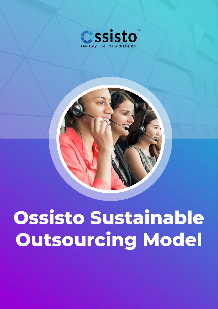



# **Ossisto Sustainable Outsourcing Model**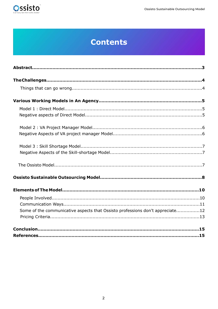

# **Contents**

| Some of the communicative aspects that Ossisto professions don't appreciate12 |
|-------------------------------------------------------------------------------|
|                                                                               |
|                                                                               |
|                                                                               |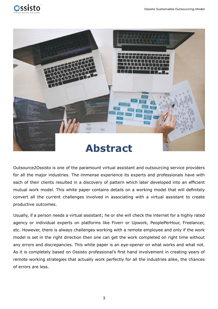<span id="page-2-0"></span>



Outsource2Ossisto is one of the paramount virtual assistant and outsourcing service providers for all the major industries. The immense experience its experts and professionals have with each of their clients resulted in a discovery of pattern which later developed into an efficient mutual work model. This white paper contains details on a working model that will definitely convert all the current challenges involved in associating with a virtual assistant to create productive outcomes.

Usually, if a person needs a virtual assistant; he or she will check the internet for a highly rated agency or individual experts on platforms like Fiverr or Upwork, PeoplePerHour, Freelancer, etc. However, there is always challenges working with a remote employee and only if the work model is set in the right direction then one can get the work completed on right time without any errors and discrepancies. This white paper is an eye-opener on what works and what not. As it is completely based on Ossisto professional's first hand involvement in creating years of remote working strategies that actually work perfectly for all the industries alike, the chances of errors are less.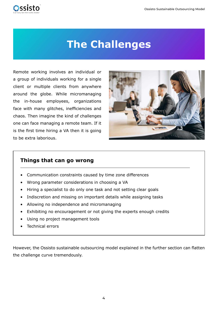<span id="page-3-0"></span>

# **The Challenges**

Remote working involves an individual or a group of individuals working for a single client or multiple clients from anywhere around the globe. While micromanaging the in-house employees, organizations face with many glitches, inefficiencies and chaos. Then imagine the kind of challenges one can face managing a remote team. If it is the first time hiring a VA then it is going to be extra laborious.



#### **Things that can go wrong**

- Communication constraints caused by time zone differences
- Wrong parameter considerations in choosing a VA
- Hiring a specialist to do only one task and not setting clear goals
- Indiscretion and missing on important details while assigning tasks
- Allowing no independence and micromanaging
- Exhibiting no encouragement or not giving the experts enough credits
- Using no project management tools
- Technical errors

However, the Ossisto sustainable outsourcing model explained in the further section can flatten the challenge curve tremendously.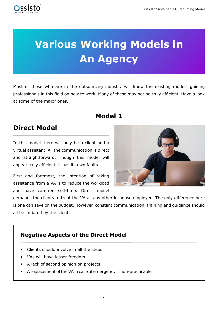<span id="page-4-0"></span>

# **Various Working Models in An Agency**

Most of those who are in the outsourcing industry will know the existing models guiding professionals in this field on how to work. Many of these may not be truly efficient. Have a look at some of the major ones.

# **Model 1**

# **Direct Model**

In this model there will only be a client and a virtual assistant. All the communication is direct and straightforward. Though this model will appear truly efficient, it has its own faults.

First and foremost, the intention of taking assistance from a VA is to reduce the workload and have carefree self-time. Direct model



### **Negative Aspects of the Direct Model**

- Clients should involve in all the steps
- VAs will have lesser freedom
- A lack of second opinion on projects
- A replacement of the VA in case of emergency is non-practicable

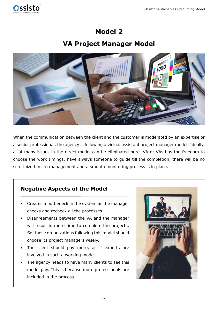<span id="page-5-0"></span>

### **Model 2**

### **VA Project Manager Model**



When the communication between the client and the customer is moderated by an expertise or a senior professional, the agency is following a virtual assistant project manager model. Ideally, a lot many issues in the direct model can be eliminated here. VA or VAs has the freedom to choose the work timings, have always someone to guide till the completion, there will be no scrutinized micro management and a smooth monitoring process is in place.

### **Negative Aspects of the Model**

- Creates a bottleneck in the system as the manager checks and recheck all the processes.
- Disagreements between the VA and the manager will result in more time to complete the projects. So, those organizations following this model should choose its project managers wisely.
- The client should pay more, as 2 experts are involved in such a working model.
- The agency needs to have many clients to see this model pay. This is because more professionals are included in the process.

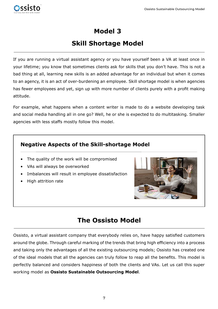<span id="page-6-0"></span>

### **Model 3**

# **Skill Shortage Model**

If you are running a virtual assistant agency or you have yourself been a VA at least once in your lifetime; you know that sometimes clients ask for skills that you don't have. This is not a bad thing at all, learning new skills is an added advantage for an individual but when it comes to an agency, it is an act of over-burdening an employee. Skill shortage model is when agencies has fewer employees and yet, sign up with more number of clients purely with a profit making attitude.

For example, what happens when a content writer is made to do a website developing task and social media handling all in one go? Well, he or she is expected to do multitasking. Smaller agencies with less staffs mostly follow this model.

### **Negative Aspects of the Skill-shortage Model**

- The quality of the work will be compromised
- VAs will always be overworked
- Imbalances will result in employee dissatisfaction
- High attrition rate



### **The Ossisto Model**

Ossisto, a virtual assistant company that everybody relies on, have happy satisfied customers around the globe. Through careful marking of the trends that bring high efficiency into a process and taking only the advantages of all the existing outsourcing models; Ossisto has created one of the ideal models that all the agencies can truly follow to reap all the benefits. This model is perfectly balanced and considers happiness of both the clients and VAs. Let us call this super working model as **Ossisto Sustainable Outsourcing Model**.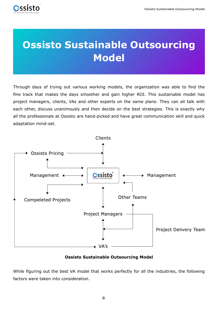# <span id="page-7-0"></span>**Ossisto Sustainable Outsourcing Model**

Through days of trying out various working models, the organization was able to find the fine track that makes the days smoother and gain higher ROI. This sustainable model has project managers, clients, VAs and other experts on the same plane. They can all talk with each other, discuss unanimously and then decide on the best strategies. This is exactly why all the professionals at Ossisto are hand-picked and have great communication skill and quick adaptation mind-set.



#### **Ossisto Sustainable Outsourcing Model**

While figuring out the best VA model that works perfectly for all the industries, the following factors were taken into consideration.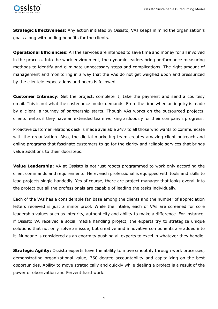

**Strategic Effectiveness:** Any action initiated by Ossisto, VAs keeps in mind the organization's goals along with adding benefits for the clients.

**Operational Efficiencies:** All the services are intended to save time and money for all involved in the process. Into the work environment, the dynamic leaders bring performance measuring methods to identify and eliminate unnecessary steps and complications. The right amount of management and monitoring in a way that the VAs do not get weighed upon and pressurized by the clientele expectations and peers is followed.

**Customer Intimacy:** Get the project, complete it, take the payment and send a courtesy email. This is not what the sustenance model demands. From the time when an inquiry is made by a client, a journey of partnership starts. Though VAs works on the outsourced projects, clients feel as if they have an extended team working arduously for their company's progress.

Proactive customer relations desk is made available 24/7 to all those who wants to communicate with the organization. Also, the digital marketing team creates amazing client outreach and online programs that fascinate customers to go for the clarity and reliable services that brings value additions to their doorsteps.

**Value Leadership:** VA at Ossisto is not just robots programmed to work only according the client commands and requirements. Here, each professional is equipped with tools and skills to lead projects single handedly. Yes of course, there are project manager that looks overall into the project but all the professionals are capable of leading the tasks individually.

Each of the VAs has a considerable fan base among the clients and the number of appreciation letters received is just a minor proof. While the intake, each of VAs are screened for core leadership values such as integrity, authenticity and ability to make a difference. For instance, if Ossisto VA received a social media handling project, the experts try to strategize unique solutions that not only solve an issue, but creative and innovative components are added into it. Mundane is considered as an enormity pushing all experts to excel in whatever they handle.

**Strategic Agility:** Ossisto experts have the ability to move smoothly through work processes, demonstrating organizational value, 360-degree accountability and capitalizing on the best opportunities. Ability to move strategically and quickly while dealing a project is a result of the power of observation and Fervent hard work.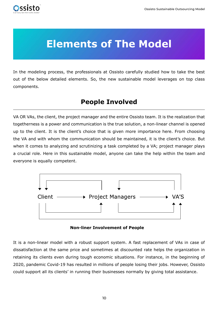<span id="page-9-0"></span>

# **Elements of The Model**

In the modeling process, the professionals at Ossisto carefully studied how to take the best out of the below detailed elements. So, the new sustainable model leverages on top class components.

## **People Involved**

VA OR VAs, the client, the project manager and the entire Ossisto team. It is the realization that togetherness is a power and communication is the true solution, a non-linear channel is opened up to the client. It is the client's choice that is given more importance here. From choosing the VA and with whom the communication should be maintained, it is the client's choice. But when it comes to analyzing and scrutinizing a task completed by a VA; project manager plays a crucial role. Here in this sustainable model, anyone can take the help within the team and everyone is equally competent.



**Non-liner Involvement of People**

It is a non-linear model with a robust support system. A fast replacement of VAs in case of dissatisfaction at the same price and sometimes at discounted rate helps the organization in retaining its clients even during tough economic situations. For instance, in the beginning of 2020, pandemic Covid-19 has resulted in millions of people losing their jobs. However, Ossisto could support all its clients' in running their businesses normally by giving total assistance.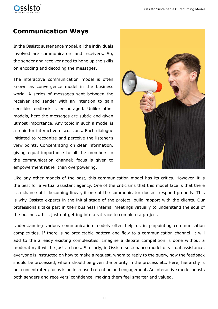<span id="page-10-0"></span>

### **Communication Ways**

In the Ossisto sustenance model, all the individuals involved are communicators and receivers. So, the sender and receiver need to hone up the skills on encoding and decoding the messages.

The interactive communication model is often known as convergence model in the business world. A series of messages sent between the receiver and sender with an intention to gain sensible feedback is encouraged. Unlike other models, here the messages are subtle and given utmost importance. Any topic in such a model is a topic for interactive discussions. Each dialogue initiated to recognize and perceive the listener's view points. Concentrating on clear information, giving equal importance to all the members in the communication channel; focus is given to empowerment rather than overpowering.



Like any other models of the past, this communication model has its critics. However, it is the best for a virtual assistant agency. One of the criticisms that this model face is that there is a chance of it becoming linear, if one of the communicator doesn't respond properly. This is why Ossisto experts in the initial stage of the project, build rapport with the clients. Our professionals take part in their business internal meetings virtually to understand the soul of the business. It is just not getting into a rat race to complete a project.

Understanding various communication models often help us in pinpointing communication complexities. If there is no predictable pattern and flow to a communication channel, it will add to the already existing complexities. Imagine a debate competition is done without a moderator; it will be just a chaos. Similarly, in Ossisto sustenance model of virtual assistance, everyone is instructed on how to make a request, whom to reply to the query, how the feedback should be processed, whom should be given the priority in the process etc. Here, hierarchy is not concentrated; focus is on increased retention and engagement. An interactive model boosts both senders and receivers' confidence, making them feel smarter and valued.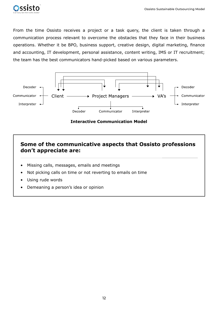

From the time Ossisto receives a project or a task query, the client is taken through a communication process relevant to overcome the obstacles that they face in their business operations. Whether it be BPO, business support, creative design, digital marketing, finance and accounting, IT development, personal assistance, content writing, IMS or IT recruitment; the team has the best communicators hand-picked based on various parameters.



**Interactive Communication Model**

### **Some of the communicative aspects that Ossisto professions don't appreciate are:**

- Missing calls, messages, emails and meetings
- Not picking calls on time or not reverting to emails on time
- Using rude words
- Demeaning a person's idea or opinion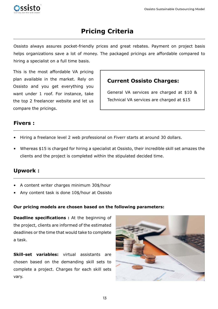<span id="page-12-0"></span>

# **Pricing Criteria**

Ossisto always assures pocket-friendly prices and great rebates. Payment on project basis helps organizations save a lot of money. The packaged pricings are affordable compared to hiring a specialist on a full time basis.

This is the most affordable VA pricing plan available in the market. Rely on Ossisto and you get everything you want under 1 roof. For instance, take the top 2 freelancer website and let us compare the pricings.

### **Current Ossisto Charges:**

General VA services are charged at \$10 & Technical VA services are charged at \$15

#### **Fivers :**

- Hiring a freelance level 2 web professional on Fiverr starts at around 30 dollars.
- Whereas \$15 is charged for hiring a specialist at Ossisto, their incredible skill set amazes the clients and the project is completed within the stipulated decided time.

### **Upwork :**

- A content writer charges minimum 30\$/hour
- Any content task is done 10\$/hour at Ossisto

#### **Our pricing models are chosen based on the following parameters:**

**Deadline specifications :** At the beginning of the project, clients are informed of the estimated deadlines or the time that would take to complete a task.

**Skill-set variables:** virtual assistants are chosen based on the demanding skill sets to complete a project. Charges for each skill sets vary.

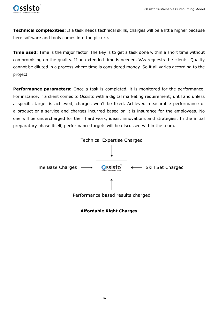

**Technical complexities:** If a task needs technical skills, charges will be a little higher because here software and tools comes into the picture.

**Time used:** Time is the major factor. The key is to get a task done within a short time without compromising on the quality. If an extended time is needed, VAs requests the clients. Quality cannot be diluted in a process where time is considered money. So it all varies according to the project.

**Performance parameters:** Once a task is completed, it is monitored for the performance. For instance, if a client comes to Ossisto with a digital marketing requirement; until and unless a specific target is achieved, charges won't be fixed. Achieved measurable performance of a product or a service and charges incurred based on it is insurance for the employees. No one will be undercharged for their hard work, ideas, innovations and strategies. In the initial preparatory phase itself, performance targets will be discussed within the team.



#### **Affordable Right Charges**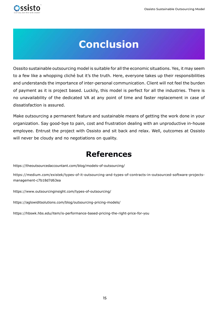<span id="page-14-0"></span>

# **Conclusion**

Osssito sustainable outsourcing model is suitable for all the economic situations. Yes, it may seem to a few like a whopping cliché but it's the truth. Here, everyone takes up their responsibilities and understands the importance of inter-personal communication. Client will not feel the burden of payment as it is project based. Luckily, this model is perfect for all the industries. There is no unavailability of the dedicated VA at any point of time and faster replacement in case of dissatisfaction is assured.

Make outsourcing a permanent feature and sustainable means of getting the work done in your organization. Say good-bye to pain, cost and frustration dealing with an unproductive in-house employee. Entrust the project with Ossisto and sit back and relax. Well, outcomes at Ossisto will never be cloudy and no negotiations on quality.

# **References**

https://theoutsourcedaccountant.com/blog/models-of-outsourcing/

https://medium.com/existek/types-of-it-outsourcing-and-types-of-contracts-in-outsourced-software-projectsmanagement-c7b18d7d63ea

https://www.outsourcinginsight.com/types-of-outsourcing/

https://aglowiditsolutions.com/blog/outsourcing-pricing-models/

https://hbswk.hbs.edu/item/is-performance-based-pricing-the-right-price-for-you